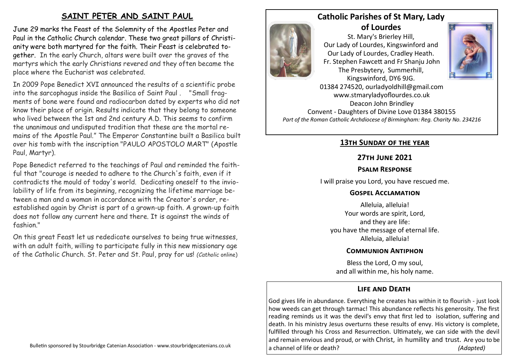# **SAINT PETER AND SAINT PAUL**

June 29 marks the Feast of the Solemnity of the Apostles Peter and Paul in the Catholic Church calendar. These two great pillars of Christianity were both martyred for the faith. Their Feast is celebrated together. In the early Church, altars were built over the graves of the martyrs which the early Christians revered and they often became the place where the Eucharist was celebrated.

In 2009 Pope Benedict XVI announced the results of a scientific probe into the sarcophagus inside the Basilica of Saint Paul . "Small fragments of bone were found and radiocarbon dated by experts who did not know their place of origin. Results indicate that they belong to someone who lived between the 1st and 2nd century A.D. This seems to confirm the unanimous and undisputed tradition that these are the mortal remains of the Apostle Paul." The Emperor Constantine built a Basilica built over his tomb with the inscription "PAULO APOSTOLO MART" (Apostle Paul, Martyr).

Pope Benedict referred to the teachings of Paul and reminded the faithful that "courage is needed to adhere to the Church's faith, even if it contradicts the mould of today's world. Dedicating oneself to the inviolability of life from its beginning, recognizing the lifetime marriage between a man and a woman in accordance with the Creator's order, reestablished again by Christ is part of a grown-up faith. A grown-up faith does not follow any current here and there. It is against the winds of fashion."

On this great Feast let us rededicate ourselves to being true witnesses, with an adult faith, willing to participate fully in this new missionary age of the Catholic Church. St. Peter and St. Paul, pray for us! *(Catholic* online)



## **Catholic Parishes of St Mary, Lady of Lourdes**

St. Mary's Brierley Hill, Our Lady of Lourdes, Kingswinford and Our Lady of Lourdes, Cradley Heath. Fr. Stephen Fawcett and Fr Shanju John The Presbytery, Summerhill, Kingswinford, DY6 9JG.



01384 274520, ourladyoldhill@gmail.com www.stmaryladyoflourdes.co.uk Deacon John Brindley Convent - Daughters of Divine Love 01384 380155 *Part of the Roman Catholic Archdiocese of Birmingham: Reg. Charity No. 234216*

### **13th Sunday of the year**

### **27th June 2021**

#### **Psalm Response**

I will praise you Lord, you have rescued me.

#### **Gospel Acclamation**

Alleluia, alleluia! Your words are spirit, Lord, and they are life: you have the message of eternal life. Alleluia, alleluia!

### **Communion Antiphon**

Bless the Lord, O my soul, and all within me, his holy name.

# **Life and Death**

God gives life in abundance. Everything he creates has within it to flourish - just look how weeds can get through tarmac! This abundance reflects his generosity. The first reading reminds us it was the devil's envy that first led to isolation, suffering and death. In his ministry Jesus overturns these results of envy. His victory is complete, fulfilled through his Cross and Resurrection. Ultimately, we can side with the devil and remain envious and proud, or with Christ, in humility and trust. Are you to be a channel of life or death? *(Adapted)*